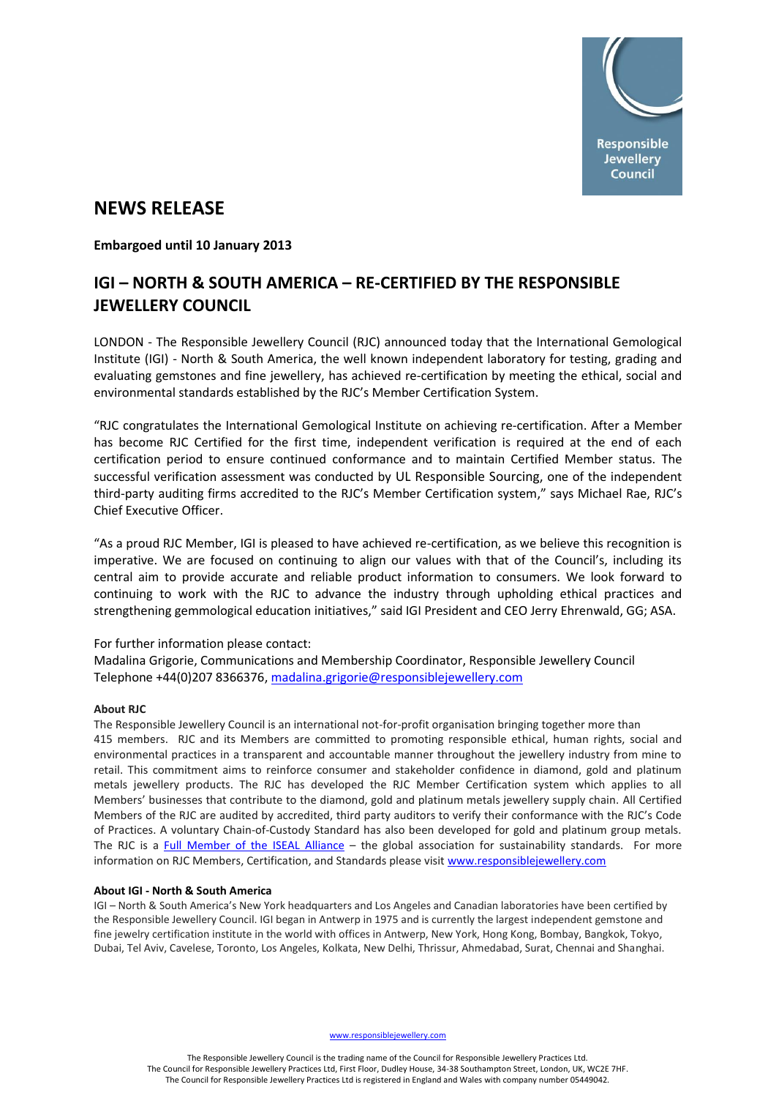

# **NEWS RELEASE**

**Embargoed until 10 January 2013**

## **IGI – NORTH & SOUTH AMERICA – RE-CERTIFIED BY THE RESPONSIBLE JEWELLERY COUNCIL**

LONDON - The Responsible Jewellery Council (RJC) announced today that the International Gemological Institute (IGI) - North & South America, the well known independent laboratory for testing, grading and evaluating gemstones and fine jewellery, has achieved re-certification by meeting the ethical, social and environmental standards established by the RJC's Member Certification System.

"RJC congratulates the International Gemological Institute on achieving re-certification. After a Member has become RJC Certified for the first time, independent verification is required at the end of each certification period to ensure continued conformance and to maintain Certified Member status. The successful verification assessment was conducted by UL Responsible Sourcing, one of the independent third-party auditing firms accredited to the RJC's Member Certification system," says Michael Rae, RJC's Chief Executive Officer.

"As a proud RJC Member, IGI is pleased to have achieved re-certification, as we believe this recognition is imperative. We are focused on continuing to align our values with that of the Council's, including its central aim to provide accurate and reliable product information to consumers. We look forward to continuing to work with the RJC to advance the industry through upholding ethical practices and strengthening gemmological education initiatives," said IGI President and CEO Jerry Ehrenwald, GG; ASA.

### For further information please contact:

Madalina Grigorie, Communications and Membership Coordinator, Responsible Jewellery Council Telephone +44(0)207 8366376, [madalina.grigorie@responsiblejewellery.com](mailto:madalina.grigorie@responsiblejewellery.com)

### **About RJC**

The Responsible Jewellery Council is an international not-for-profit organisation bringing together more than 415 members. RJC and its Members are committed to promoting responsible ethical, human rights, social and environmental practices in a transparent and accountable manner throughout the jewellery industry from mine to retail. This commitment aims to reinforce consumer and stakeholder confidence in diamond, gold and platinum metals jewellery products. The RJC has developed the RJC Member Certification system which applies to all Members' businesses that contribute to the diamond, gold and platinum metals jewellery supply chain. All Certified Members of the RJC are audited by accredited, third party auditors to verify their conformance with the RJC's Code of Practices. A voluntary Chain-of-Custody Standard has also been developed for gold and platinum group metals. The RJC is a [Full Member of the ISEAL Alliance](http://www.isealalliance.org/our-members/full-membership) – the global association for sustainability standards. For more information on RJC Members, Certification, and Standards please visi[t www.responsiblejewellery.com](http://www.responsiblejewellery.com/)

### **About IGI - North & South America**

IGI – North & South America's New York headquarters and Los Angeles and Canadian laboratories have been certified by the Responsible Jewellery Council. IGI began in Antwerp in 1975 and is currently the largest independent gemstone and fine jewelry certification institute in the world with offices in Antwerp, New York, Hong Kong, Bombay, Bangkok, Tokyo, Dubai, Tel Aviv, Cavelese, Toronto, Los Angeles, Kolkata, New Delhi, Thrissur, Ahmedabad, Surat, Chennai and Shanghai.

www.responsiblejewellery.com

The Responsible Jewellery Council is the trading name of the Council for Responsible Jewellery Practices Ltd. The Council for Responsible Jewellery Practices Ltd, First Floor, Dudley House, 34-38 Southampton Street, London, UK, WC2E 7HF. The Council for Responsible Jewellery Practices Ltd is registered in England and Wales with company number 05449042.